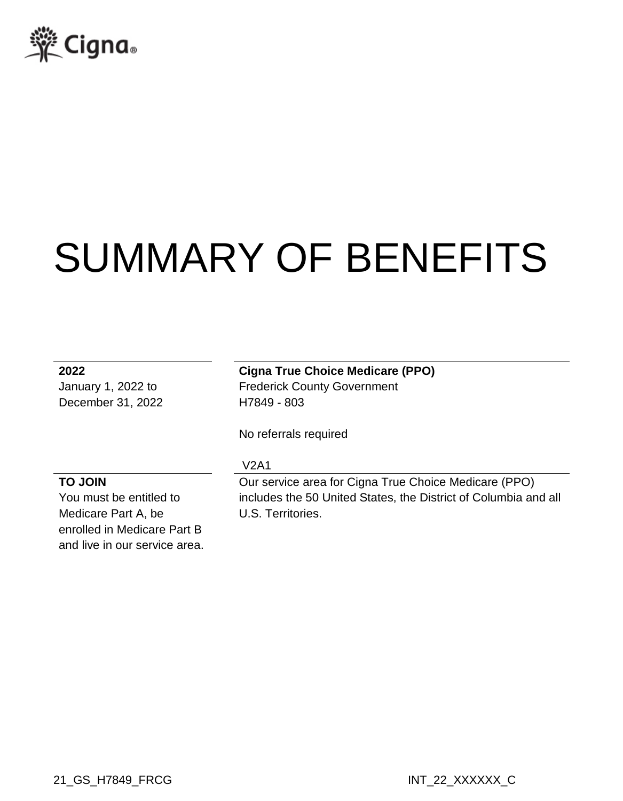

# SUMMARY OF BENEFITS

December 31, 2022 H7849 - 803

**2022 Cigna True Choice Medicare (PPO)** January 1, 2022 to Frederick County Government

No referrals required

### **TO JOIN**

You must be entitled to Medicare Part A, be enrolled in Medicare Part B and live in our service area.

#### V2A1

Our service area for Cigna True Choice Medicare (PPO) includes the 50 United States, the District of Columbia and all U.S. Territories.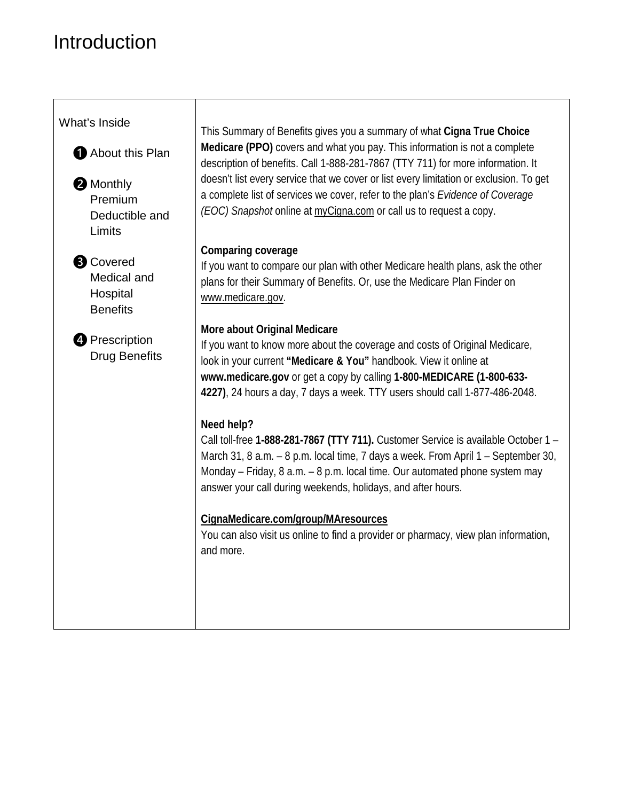## Introduction

| What's Inside                                                  |                                                                                                                                                                                                                                                                                                                                         |
|----------------------------------------------------------------|-----------------------------------------------------------------------------------------------------------------------------------------------------------------------------------------------------------------------------------------------------------------------------------------------------------------------------------------|
| About this Plan                                                | This Summary of Benefits gives you a summary of what Cigna True Choice<br>Medicare (PPO) covers and what you pay. This information is not a complete<br>description of benefits. Call 1-888-281-7867 (TTY 711) for more information. It                                                                                                 |
| <b>2</b> Monthly<br>Premium<br>Deductible and<br>Limits        | doesn't list every service that we cover or list every limitation or exclusion. To get<br>a complete list of services we cover, refer to the plan's Evidence of Coverage<br>(EOC) Snapshot online at myCigna.com or call us to request a copy.                                                                                          |
| <b>B</b> Covered<br>Medical and<br>Hospital<br><b>Benefits</b> | Comparing coverage<br>If you want to compare our plan with other Medicare health plans, ask the other<br>plans for their Summary of Benefits. Or, use the Medicare Plan Finder on<br>www.medicare.gov.                                                                                                                                  |
| <b>4</b> Prescription<br><b>Drug Benefits</b>                  | More about Original Medicare<br>If you want to know more about the coverage and costs of Original Medicare,<br>look in your current "Medicare & You" handbook. View it online at<br>www.medicare.gov or get a copy by calling 1-800-MEDICARE (1-800-633-<br>4227), 24 hours a day, 7 days a week. TTY users should call 1-877-486-2048. |
|                                                                | Need help?<br>Call toll-free 1-888-281-7867 (TTY 711). Customer Service is available October 1 -<br>March 31, 8 a.m. - 8 p.m. local time, 7 days a week. From April 1 - September 30,<br>Monday - Friday, 8 a.m. - 8 p.m. local time. Our automated phone system may<br>answer your call during weekends, holidays, and after hours.    |
|                                                                | CignaMedicare.com/group/MAresources<br>You can also visit us online to find a provider or pharmacy, view plan information,<br>and more.                                                                                                                                                                                                 |
|                                                                |                                                                                                                                                                                                                                                                                                                                         |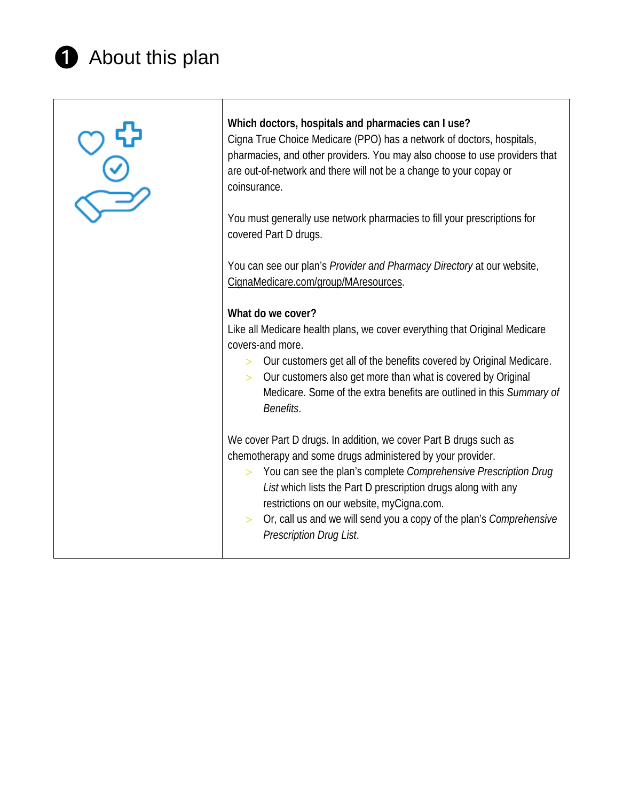## **1** About this plan

| $\frac{1}{\sqrt{2}}$ | Which doctors, hospitals and pharmacies can I use?<br>Cigna True Choice Medicare (PPO) has a network of doctors, hospitals,<br>pharmacies, and other providers. You may also choose to use providers that<br>are out-of-network and there will not be a change to your copay or<br>coinsurance.                                                                                                                                |
|----------------------|--------------------------------------------------------------------------------------------------------------------------------------------------------------------------------------------------------------------------------------------------------------------------------------------------------------------------------------------------------------------------------------------------------------------------------|
|                      | You must generally use network pharmacies to fill your prescriptions for<br>covered Part D drugs.                                                                                                                                                                                                                                                                                                                              |
|                      | You can see our plan's Provider and Pharmacy Directory at our website,<br>CignaMedicare.com/group/MAresources.                                                                                                                                                                                                                                                                                                                 |
|                      | What do we cover?<br>Like all Medicare health plans, we cover everything that Original Medicare<br>covers-and more.<br>Our customers get all of the benefits covered by Original Medicare.<br>Our customers also get more than what is covered by Original<br>Medicare. Some of the extra benefits are outlined in this Summary of<br>Benefits.                                                                                |
|                      | We cover Part D drugs. In addition, we cover Part B drugs such as<br>chemotherapy and some drugs administered by your provider.<br>> You can see the plan's complete Comprehensive Prescription Drug<br>List which lists the Part D prescription drugs along with any<br>restrictions on our website, myCigna.com.<br>Or, call us and we will send you a copy of the plan's Comprehensive<br>$\geq$<br>Prescription Drug List. |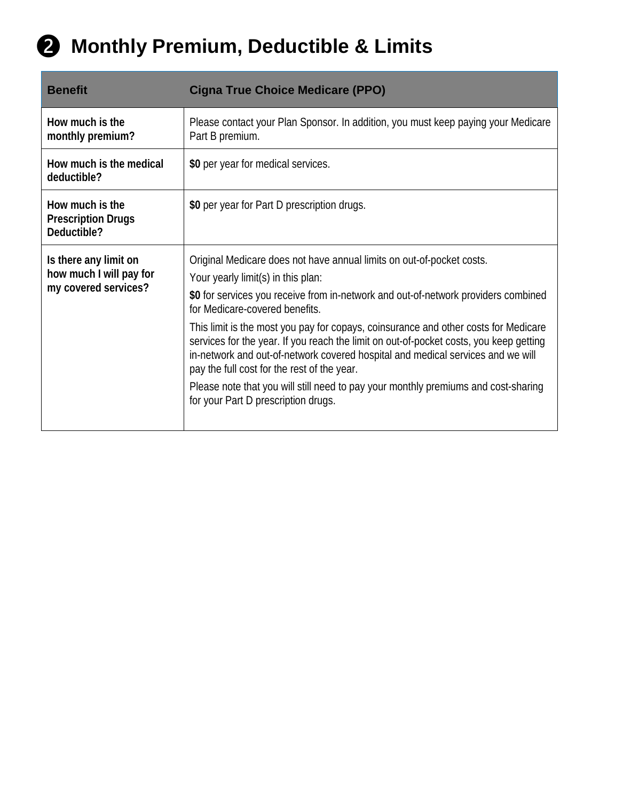

| <b>Benefit</b>                                                           | <b>Cigna True Choice Medicare (PPO)</b>                                                                                                                                                                                                                                                                                                                                                                                                                                                                                                                                                                                                                                             |
|--------------------------------------------------------------------------|-------------------------------------------------------------------------------------------------------------------------------------------------------------------------------------------------------------------------------------------------------------------------------------------------------------------------------------------------------------------------------------------------------------------------------------------------------------------------------------------------------------------------------------------------------------------------------------------------------------------------------------------------------------------------------------|
| How much is the<br>monthly premium?                                      | Please contact your Plan Sponsor. In addition, you must keep paying your Medicare<br>Part B premium.                                                                                                                                                                                                                                                                                                                                                                                                                                                                                                                                                                                |
| How much is the medical<br>deductible?                                   | \$0 per year for medical services.                                                                                                                                                                                                                                                                                                                                                                                                                                                                                                                                                                                                                                                  |
| How much is the<br><b>Prescription Drugs</b><br>Deductible?              | \$0 per year for Part D prescription drugs.                                                                                                                                                                                                                                                                                                                                                                                                                                                                                                                                                                                                                                         |
| Is there any limit on<br>how much I will pay for<br>my covered services? | Original Medicare does not have annual limits on out-of-pocket costs.<br>Your yearly limit(s) in this plan:<br>\$0 for services you receive from in-network and out-of-network providers combined<br>for Medicare-covered benefits.<br>This limit is the most you pay for copays, coinsurance and other costs for Medicare<br>services for the year. If you reach the limit on out-of-pocket costs, you keep getting<br>in-network and out-of-network covered hospital and medical services and we will<br>pay the full cost for the rest of the year.<br>Please note that you will still need to pay your monthly premiums and cost-sharing<br>for your Part D prescription drugs. |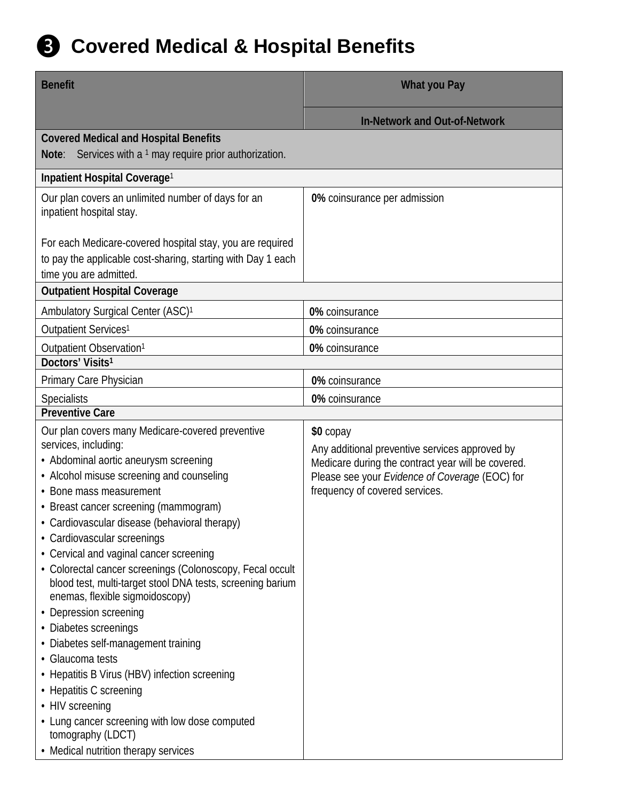

| <b>Benefit</b>                                                                                                                                                                                                                                                                                                                                                                                                                                                                                                                                                                                                                                                                                                                                                                             | What you Pay                                                                                                                                                                                          |
|--------------------------------------------------------------------------------------------------------------------------------------------------------------------------------------------------------------------------------------------------------------------------------------------------------------------------------------------------------------------------------------------------------------------------------------------------------------------------------------------------------------------------------------------------------------------------------------------------------------------------------------------------------------------------------------------------------------------------------------------------------------------------------------------|-------------------------------------------------------------------------------------------------------------------------------------------------------------------------------------------------------|
|                                                                                                                                                                                                                                                                                                                                                                                                                                                                                                                                                                                                                                                                                                                                                                                            | <b>In-Network and Out-of-Network</b>                                                                                                                                                                  |
| <b>Covered Medical and Hospital Benefits</b><br>Services with a 1 may require prior authorization.<br>Note:                                                                                                                                                                                                                                                                                                                                                                                                                                                                                                                                                                                                                                                                                |                                                                                                                                                                                                       |
| Inpatient Hospital Coverage <sup>1</sup>                                                                                                                                                                                                                                                                                                                                                                                                                                                                                                                                                                                                                                                                                                                                                   |                                                                                                                                                                                                       |
| Our plan covers an unlimited number of days for an<br>inpatient hospital stay.                                                                                                                                                                                                                                                                                                                                                                                                                                                                                                                                                                                                                                                                                                             | 0% coinsurance per admission                                                                                                                                                                          |
| For each Medicare-covered hospital stay, you are required<br>to pay the applicable cost-sharing, starting with Day 1 each<br>time you are admitted.                                                                                                                                                                                                                                                                                                                                                                                                                                                                                                                                                                                                                                        |                                                                                                                                                                                                       |
| <b>Outpatient Hospital Coverage</b>                                                                                                                                                                                                                                                                                                                                                                                                                                                                                                                                                                                                                                                                                                                                                        |                                                                                                                                                                                                       |
| Ambulatory Surgical Center (ASC) <sup>1</sup>                                                                                                                                                                                                                                                                                                                                                                                                                                                                                                                                                                                                                                                                                                                                              | 0% coinsurance                                                                                                                                                                                        |
| Outpatient Services <sup>1</sup>                                                                                                                                                                                                                                                                                                                                                                                                                                                                                                                                                                                                                                                                                                                                                           | 0% coinsurance                                                                                                                                                                                        |
| Outpatient Observation <sup>1</sup>                                                                                                                                                                                                                                                                                                                                                                                                                                                                                                                                                                                                                                                                                                                                                        | 0% coinsurance                                                                                                                                                                                        |
| Doctors' Visits <sup>1</sup>                                                                                                                                                                                                                                                                                                                                                                                                                                                                                                                                                                                                                                                                                                                                                               |                                                                                                                                                                                                       |
| Primary Care Physician                                                                                                                                                                                                                                                                                                                                                                                                                                                                                                                                                                                                                                                                                                                                                                     | 0% coinsurance                                                                                                                                                                                        |
| <b>Specialists</b>                                                                                                                                                                                                                                                                                                                                                                                                                                                                                                                                                                                                                                                                                                                                                                         | 0% coinsurance                                                                                                                                                                                        |
| <b>Preventive Care</b>                                                                                                                                                                                                                                                                                                                                                                                                                                                                                                                                                                                                                                                                                                                                                                     |                                                                                                                                                                                                       |
| Our plan covers many Medicare-covered preventive<br>services, including:<br>• Abdominal aortic aneurysm screening<br>• Alcohol misuse screening and counseling<br>• Bone mass measurement<br>• Breast cancer screening (mammogram)<br>• Cardiovascular disease (behavioral therapy)<br>• Cardiovascular screenings<br>• Cervical and vaginal cancer screening<br>• Colorectal cancer screenings (Colonoscopy, Fecal occult<br>blood test, multi-target stool DNA tests, screening barium<br>enemas, flexible sigmoidoscopy)<br>• Depression screening<br>• Diabetes screenings<br>• Diabetes self-management training<br>• Glaucoma tests<br>• Hepatitis B Virus (HBV) infection screening<br>• Hepatitis C screening<br>• HIV screening<br>• Lung cancer screening with low dose computed | \$0 copay<br>Any additional preventive services approved by<br>Medicare during the contract year will be covered.<br>Please see your Evidence of Coverage (EOC) for<br>frequency of covered services. |
| tomography (LDCT)<br>• Medical nutrition therapy services                                                                                                                                                                                                                                                                                                                                                                                                                                                                                                                                                                                                                                                                                                                                  |                                                                                                                                                                                                       |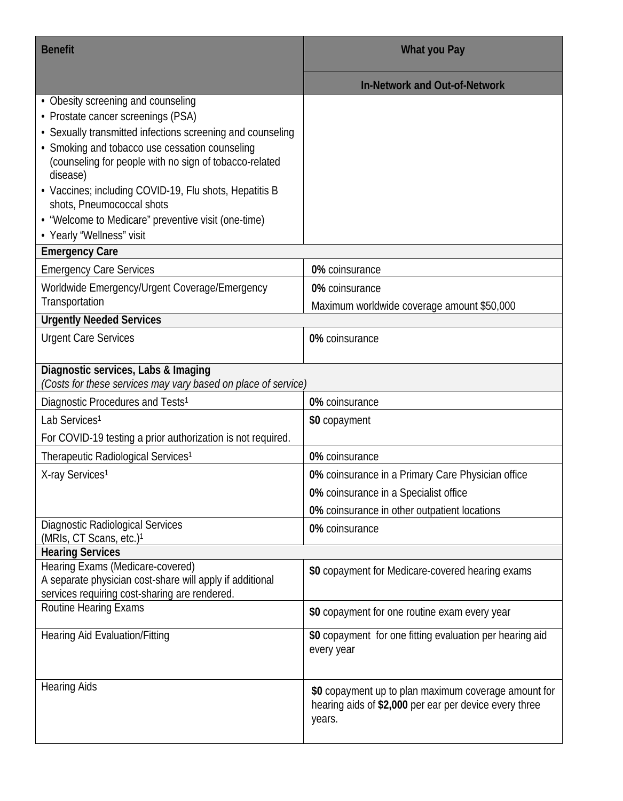| <b>Benefit</b>                                                                                                                                                                                                                                                                                                                                                                                                                            | What you Pay                                                                                                             |
|-------------------------------------------------------------------------------------------------------------------------------------------------------------------------------------------------------------------------------------------------------------------------------------------------------------------------------------------------------------------------------------------------------------------------------------------|--------------------------------------------------------------------------------------------------------------------------|
|                                                                                                                                                                                                                                                                                                                                                                                                                                           | <b>In-Network and Out-of-Network</b>                                                                                     |
| • Obesity screening and counseling<br>• Prostate cancer screenings (PSA)<br>• Sexually transmitted infections screening and counseling<br>• Smoking and tobacco use cessation counseling<br>(counseling for people with no sign of tobacco-related<br>disease)<br>• Vaccines; including COVID-19, Flu shots, Hepatitis B<br>shots, Pneumococcal shots<br>• "Welcome to Medicare" preventive visit (one-time)<br>• Yearly "Wellness" visit |                                                                                                                          |
| <b>Emergency Care</b>                                                                                                                                                                                                                                                                                                                                                                                                                     |                                                                                                                          |
| <b>Emergency Care Services</b>                                                                                                                                                                                                                                                                                                                                                                                                            | 0% coinsurance                                                                                                           |
| Worldwide Emergency/Urgent Coverage/Emergency                                                                                                                                                                                                                                                                                                                                                                                             | 0% coinsurance                                                                                                           |
| Transportation                                                                                                                                                                                                                                                                                                                                                                                                                            | Maximum worldwide coverage amount \$50,000                                                                               |
| <b>Urgently Needed Services</b>                                                                                                                                                                                                                                                                                                                                                                                                           |                                                                                                                          |
| <b>Urgent Care Services</b>                                                                                                                                                                                                                                                                                                                                                                                                               | 0% coinsurance                                                                                                           |
| Diagnostic services, Labs & Imaging<br>(Costs for these services may vary based on place of service)                                                                                                                                                                                                                                                                                                                                      |                                                                                                                          |
| Diagnostic Procedures and Tests <sup>1</sup>                                                                                                                                                                                                                                                                                                                                                                                              | 0% coinsurance                                                                                                           |
| Lab Services <sup>1</sup>                                                                                                                                                                                                                                                                                                                                                                                                                 | \$0 copayment                                                                                                            |
| For COVID-19 testing a prior authorization is not required.                                                                                                                                                                                                                                                                                                                                                                               |                                                                                                                          |
| Therapeutic Radiological Services <sup>1</sup>                                                                                                                                                                                                                                                                                                                                                                                            | 0% coinsurance                                                                                                           |
| X-ray Services <sup>1</sup>                                                                                                                                                                                                                                                                                                                                                                                                               | 0% coinsurance in a Primary Care Physician office                                                                        |
|                                                                                                                                                                                                                                                                                                                                                                                                                                           | 0% coinsurance in a Specialist office                                                                                    |
|                                                                                                                                                                                                                                                                                                                                                                                                                                           | 0% coinsurance in other outpatient locations                                                                             |
| <b>Diagnostic Radiological Services</b>                                                                                                                                                                                                                                                                                                                                                                                                   | 0% coinsurance                                                                                                           |
| (MRIs, CT Scans, etc.) <sup>1</sup>                                                                                                                                                                                                                                                                                                                                                                                                       |                                                                                                                          |
| <b>Hearing Services</b>                                                                                                                                                                                                                                                                                                                                                                                                                   |                                                                                                                          |
| Hearing Exams (Medicare-covered)<br>A separate physician cost-share will apply if additional<br>services requiring cost-sharing are rendered.                                                                                                                                                                                                                                                                                             | \$0 copayment for Medicare-covered hearing exams                                                                         |
| <b>Routine Hearing Exams</b>                                                                                                                                                                                                                                                                                                                                                                                                              | \$0 copayment for one routine exam every year                                                                            |
| <b>Hearing Aid Evaluation/Fitting</b>                                                                                                                                                                                                                                                                                                                                                                                                     | \$0 copayment for one fitting evaluation per hearing aid<br>every year                                                   |
| <b>Hearing Aids</b>                                                                                                                                                                                                                                                                                                                                                                                                                       | \$0 copayment up to plan maximum coverage amount for<br>hearing aids of \$2,000 per ear per device every three<br>years. |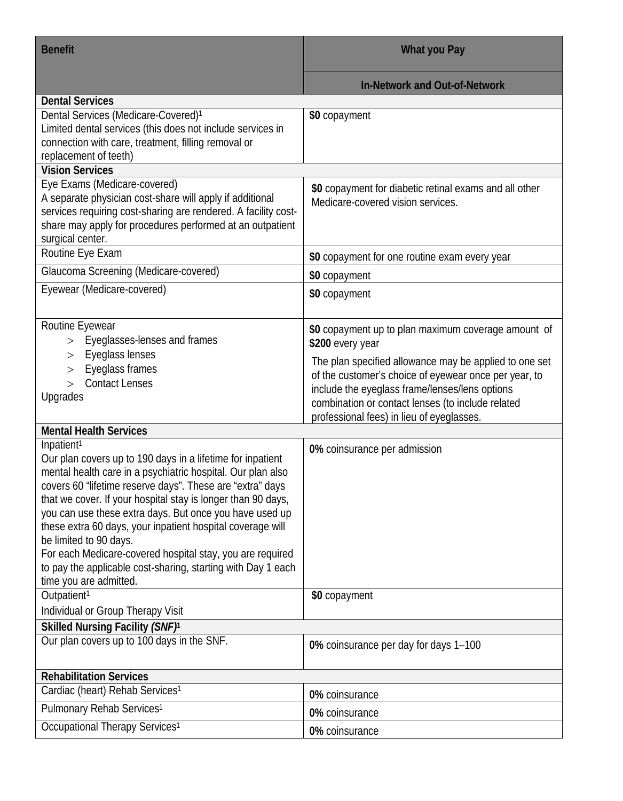| <b>Benefit</b>                                                                                                                                                                                                                                                                                                                                                                                                                                                                                                                                                                             | What you Pay                                                                                                                                                                                                                                                        |
|--------------------------------------------------------------------------------------------------------------------------------------------------------------------------------------------------------------------------------------------------------------------------------------------------------------------------------------------------------------------------------------------------------------------------------------------------------------------------------------------------------------------------------------------------------------------------------------------|---------------------------------------------------------------------------------------------------------------------------------------------------------------------------------------------------------------------------------------------------------------------|
|                                                                                                                                                                                                                                                                                                                                                                                                                                                                                                                                                                                            | <b>In-Network and Out-of-Network</b>                                                                                                                                                                                                                                |
| <b>Dental Services</b>                                                                                                                                                                                                                                                                                                                                                                                                                                                                                                                                                                     |                                                                                                                                                                                                                                                                     |
| Dental Services (Medicare-Covered) <sup>1</sup><br>Limited dental services (this does not include services in<br>connection with care, treatment, filling removal or<br>replacement of teeth)                                                                                                                                                                                                                                                                                                                                                                                              | \$0 copayment                                                                                                                                                                                                                                                       |
| <b>Vision Services</b>                                                                                                                                                                                                                                                                                                                                                                                                                                                                                                                                                                     |                                                                                                                                                                                                                                                                     |
| Eye Exams (Medicare-covered)<br>A separate physician cost-share will apply if additional<br>services requiring cost-sharing are rendered. A facility cost-<br>share may apply for procedures performed at an outpatient<br>surgical center.                                                                                                                                                                                                                                                                                                                                                | \$0 copayment for diabetic retinal exams and all other<br>Medicare-covered vision services.                                                                                                                                                                         |
| Routine Eye Exam                                                                                                                                                                                                                                                                                                                                                                                                                                                                                                                                                                           | \$0 copayment for one routine exam every year                                                                                                                                                                                                                       |
| Glaucoma Screening (Medicare-covered)                                                                                                                                                                                                                                                                                                                                                                                                                                                                                                                                                      | \$0 copayment                                                                                                                                                                                                                                                       |
| Eyewear (Medicare-covered)                                                                                                                                                                                                                                                                                                                                                                                                                                                                                                                                                                 | \$0 copayment                                                                                                                                                                                                                                                       |
| Routine Eyewear<br>Eyeglasses-lenses and frames<br>$\geq$                                                                                                                                                                                                                                                                                                                                                                                                                                                                                                                                  | \$0 copayment up to plan maximum coverage amount of<br>\$200 every year                                                                                                                                                                                             |
| Eyeglass lenses<br>$\rm{>}$<br>Eyeglass frames<br>><br><b>Contact Lenses</b><br>Upgrades                                                                                                                                                                                                                                                                                                                                                                                                                                                                                                   | The plan specified allowance may be applied to one set<br>of the customer's choice of eyewear once per year, to<br>include the eyeglass frame/lenses/lens options<br>combination or contact lenses (to include related<br>professional fees) in lieu of eyeglasses. |
| <b>Mental Health Services</b>                                                                                                                                                                                                                                                                                                                                                                                                                                                                                                                                                              |                                                                                                                                                                                                                                                                     |
| Inpatient <sup>1</sup><br>Our plan covers up to 190 days in a lifetime for inpatient<br>mental health care in a psychiatric hospital. Our plan also<br>covers 60 "lifetime reserve days". These are "extra" days<br>that we cover. If your hospital stay is longer than 90 days,<br>you can use these extra days. But once you have used up<br>these extra 60 days, your inpatient hospital coverage will<br>be limited to 90 days.<br>For each Medicare-covered hospital stay, you are required<br>to pay the applicable cost-sharing, starting with Day 1 each<br>time you are admitted. | 0% coinsurance per admission                                                                                                                                                                                                                                        |
| Outpatient <sup>1</sup>                                                                                                                                                                                                                                                                                                                                                                                                                                                                                                                                                                    | \$0 copayment                                                                                                                                                                                                                                                       |
| Individual or Group Therapy Visit                                                                                                                                                                                                                                                                                                                                                                                                                                                                                                                                                          |                                                                                                                                                                                                                                                                     |
| Skilled Nursing Facility (SNF) <sup>1</sup>                                                                                                                                                                                                                                                                                                                                                                                                                                                                                                                                                |                                                                                                                                                                                                                                                                     |
| Our plan covers up to 100 days in the SNF.                                                                                                                                                                                                                                                                                                                                                                                                                                                                                                                                                 | 0% coinsurance per day for days 1-100                                                                                                                                                                                                                               |
| <b>Rehabilitation Services</b>                                                                                                                                                                                                                                                                                                                                                                                                                                                                                                                                                             |                                                                                                                                                                                                                                                                     |
| Cardiac (heart) Rehab Services <sup>1</sup>                                                                                                                                                                                                                                                                                                                                                                                                                                                                                                                                                | 0% coinsurance                                                                                                                                                                                                                                                      |
| Pulmonary Rehab Services <sup>1</sup>                                                                                                                                                                                                                                                                                                                                                                                                                                                                                                                                                      | 0% coinsurance                                                                                                                                                                                                                                                      |
| Occupational Therapy Services <sup>1</sup>                                                                                                                                                                                                                                                                                                                                                                                                                                                                                                                                                 | 0% coinsurance                                                                                                                                                                                                                                                      |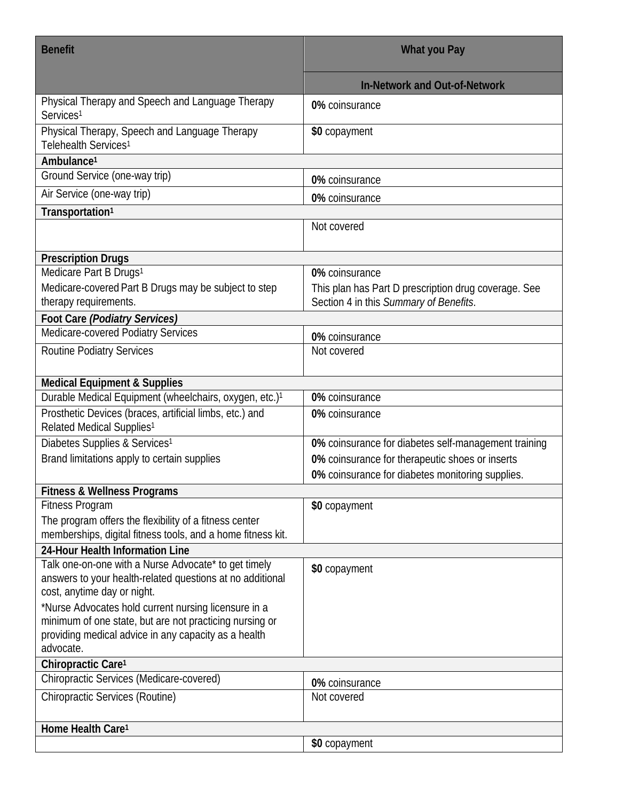| <b>Benefit</b>                                                                                                                                   | What you Pay                                                                                   |
|--------------------------------------------------------------------------------------------------------------------------------------------------|------------------------------------------------------------------------------------------------|
|                                                                                                                                                  | <b>In-Network and Out-of-Network</b>                                                           |
| Physical Therapy and Speech and Language Therapy<br>Services <sup>1</sup>                                                                        | 0% coinsurance                                                                                 |
| Physical Therapy, Speech and Language Therapy<br>Telehealth Services <sup>1</sup>                                                                | \$0 copayment                                                                                  |
| Ambulance <sup>1</sup>                                                                                                                           |                                                                                                |
| Ground Service (one-way trip)                                                                                                                    | 0% coinsurance                                                                                 |
| Air Service (one-way trip)                                                                                                                       | 0% coinsurance                                                                                 |
| Transportation <sup>1</sup>                                                                                                                      |                                                                                                |
|                                                                                                                                                  | Not covered                                                                                    |
| <b>Prescription Drugs</b>                                                                                                                        |                                                                                                |
| Medicare Part B Drugs <sup>1</sup>                                                                                                               | 0% coinsurance                                                                                 |
| Medicare-covered Part B Drugs may be subject to step<br>therapy requirements.                                                                    | This plan has Part D prescription drug coverage. See<br>Section 4 in this Summary of Benefits. |
| Foot Care (Podiatry Services)                                                                                                                    |                                                                                                |
| Medicare-covered Podiatry Services                                                                                                               | 0% coinsurance                                                                                 |
| <b>Routine Podiatry Services</b>                                                                                                                 | Not covered                                                                                    |
| <b>Medical Equipment &amp; Supplies</b>                                                                                                          |                                                                                                |
| Durable Medical Equipment (wheelchairs, oxygen, etc.) <sup>1</sup>                                                                               | 0% coinsurance                                                                                 |
| Prosthetic Devices (braces, artificial limbs, etc.) and<br>Related Medical Supplies <sup>1</sup>                                                 | 0% coinsurance                                                                                 |
| Diabetes Supplies & Services <sup>1</sup>                                                                                                        | 0% coinsurance for diabetes self-management training                                           |
| Brand limitations apply to certain supplies                                                                                                      | 0% coinsurance for therapeutic shoes or inserts                                                |
|                                                                                                                                                  | 0% coinsurance for diabetes monitoring supplies.                                               |
| <b>Fitness &amp; Wellness Programs</b>                                                                                                           |                                                                                                |
| <b>Fitness Program</b>                                                                                                                           | \$0 copayment                                                                                  |
| The program offers the flexibility of a fitness center<br>memberships, digital fitness tools, and a home fitness kit.                            |                                                                                                |
| 24-Hour Health Information Line                                                                                                                  |                                                                                                |
| Talk one-on-one with a Nurse Advocate* to get timely<br>answers to your health-related questions at no additional<br>cost, anytime day or night. | \$0 copayment                                                                                  |
| *Nurse Advocates hold current nursing licensure in a                                                                                             |                                                                                                |
| minimum of one state, but are not practicing nursing or                                                                                          |                                                                                                |
| providing medical advice in any capacity as a health<br>advocate.                                                                                |                                                                                                |
| Chiropractic Care <sup>1</sup>                                                                                                                   |                                                                                                |
| Chiropractic Services (Medicare-covered)                                                                                                         | 0% coinsurance                                                                                 |
| <b>Chiropractic Services (Routine)</b>                                                                                                           | Not covered                                                                                    |
|                                                                                                                                                  |                                                                                                |
| Home Health Care <sup>1</sup>                                                                                                                    |                                                                                                |
|                                                                                                                                                  | \$0 copayment                                                                                  |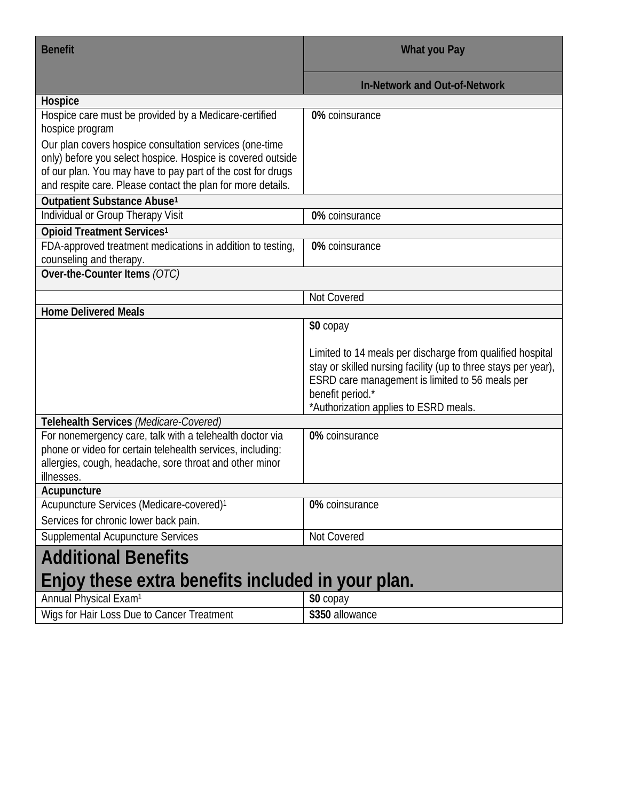| <b>Benefit</b>                                                                                                                                                                                                                                       | What you Pay                                                                                                                                                                                                                                |
|------------------------------------------------------------------------------------------------------------------------------------------------------------------------------------------------------------------------------------------------------|---------------------------------------------------------------------------------------------------------------------------------------------------------------------------------------------------------------------------------------------|
|                                                                                                                                                                                                                                                      | <b>In-Network and Out-of-Network</b>                                                                                                                                                                                                        |
| Hospice                                                                                                                                                                                                                                              |                                                                                                                                                                                                                                             |
| Hospice care must be provided by a Medicare-certified<br>hospice program                                                                                                                                                                             | 0% coinsurance                                                                                                                                                                                                                              |
| Our plan covers hospice consultation services (one-time<br>only) before you select hospice. Hospice is covered outside<br>of our plan. You may have to pay part of the cost for drugs<br>and respite care. Please contact the plan for more details. |                                                                                                                                                                                                                                             |
| Outpatient Substance Abuse <sup>1</sup>                                                                                                                                                                                                              |                                                                                                                                                                                                                                             |
| Individual or Group Therapy Visit                                                                                                                                                                                                                    | 0% coinsurance                                                                                                                                                                                                                              |
| Opioid Treatment Services <sup>1</sup>                                                                                                                                                                                                               |                                                                                                                                                                                                                                             |
| FDA-approved treatment medications in addition to testing,<br>counseling and therapy.                                                                                                                                                                | 0% coinsurance                                                                                                                                                                                                                              |
| Over-the-Counter Items (OTC)                                                                                                                                                                                                                         |                                                                                                                                                                                                                                             |
|                                                                                                                                                                                                                                                      | Not Covered                                                                                                                                                                                                                                 |
| <b>Home Delivered Meals</b>                                                                                                                                                                                                                          |                                                                                                                                                                                                                                             |
|                                                                                                                                                                                                                                                      | \$0 copay                                                                                                                                                                                                                                   |
|                                                                                                                                                                                                                                                      | Limited to 14 meals per discharge from qualified hospital<br>stay or skilled nursing facility (up to three stays per year),<br>ESRD care management is limited to 56 meals per<br>benefit period.*<br>*Authorization applies to ESRD meals. |
| Telehealth Services (Medicare-Covered)                                                                                                                                                                                                               |                                                                                                                                                                                                                                             |
| For nonemergency care, talk with a telehealth doctor via<br>phone or video for certain telehealth services, including:<br>allergies, cough, headache, sore throat and other minor<br>illnesses.                                                      | 0% coinsurance                                                                                                                                                                                                                              |
| Acupuncture                                                                                                                                                                                                                                          |                                                                                                                                                                                                                                             |
| Acupuncture Services (Medicare-covered) <sup>1</sup><br>Services for chronic lower back pain.                                                                                                                                                        | 0% coinsurance                                                                                                                                                                                                                              |
| <b>Supplemental Acupuncture Services</b>                                                                                                                                                                                                             | Not Covered                                                                                                                                                                                                                                 |
|                                                                                                                                                                                                                                                      |                                                                                                                                                                                                                                             |
| <b>Additional Benefits</b>                                                                                                                                                                                                                           |                                                                                                                                                                                                                                             |
| Enjoy these extra benefits included in your plan.                                                                                                                                                                                                    |                                                                                                                                                                                                                                             |
| Annual Physical Exam <sup>1</sup>                                                                                                                                                                                                                    | \$0 copay                                                                                                                                                                                                                                   |
| Wigs for Hair Loss Due to Cancer Treatment                                                                                                                                                                                                           | \$350 allowance                                                                                                                                                                                                                             |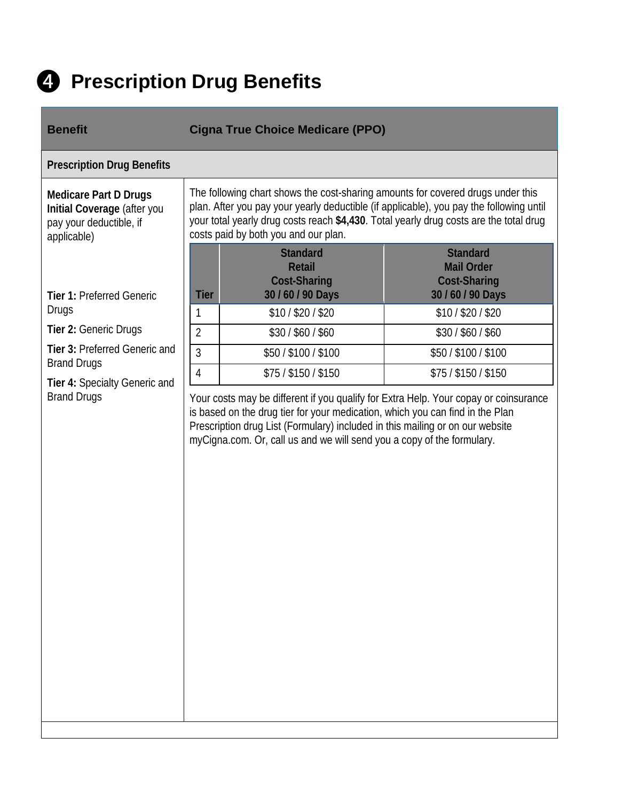

## ❹ **Prescription Drug Benefits**

| <b>Benefit</b>                                                                                        | <b>Cigna True Choice Medicare (PPO)</b>                                                                                                                                                                                                                                                                                          |                                                                                  |  |
|-------------------------------------------------------------------------------------------------------|----------------------------------------------------------------------------------------------------------------------------------------------------------------------------------------------------------------------------------------------------------------------------------------------------------------------------------|----------------------------------------------------------------------------------|--|
| <b>Prescription Drug Benefits</b>                                                                     |                                                                                                                                                                                                                                                                                                                                  |                                                                                  |  |
| <b>Medicare Part D Drugs</b><br>Initial Coverage (after you<br>pay your deductible, if<br>applicable) | The following chart shows the cost-sharing amounts for covered drugs under this<br>plan. After you pay your yearly deductible (if applicable), you pay the following until<br>your total yearly drug costs reach \$4,430. Total yearly drug costs are the total drug<br>costs paid by both you and our plan.                     |                                                                                  |  |
| <b>Tier 1: Preferred Generic</b>                                                                      | <b>Standard</b><br><b>Retail</b><br><b>Cost-Sharing</b><br>30 / 60 / 90 Days<br><b>Tier</b>                                                                                                                                                                                                                                      | <b>Standard</b><br><b>Mail Order</b><br><b>Cost-Sharing</b><br>30 / 60 / 90 Days |  |
| <b>Drugs</b>                                                                                          | \$10/\$20/\$20<br>1                                                                                                                                                                                                                                                                                                              | $$10/$ \$20 / \$20                                                               |  |
| Tier 2: Generic Drugs                                                                                 | $\overline{2}$<br>\$30/\$60/\$60                                                                                                                                                                                                                                                                                                 | \$30/\$60/\$60                                                                   |  |
| Tier 3: Preferred Generic and                                                                         | $\overline{3}$<br>\$50 / \$100 / \$100                                                                                                                                                                                                                                                                                           | \$50/\$100/\$100                                                                 |  |
| <b>Brand Drugs</b><br>Tier 4: Specialty Generic and                                                   | 4<br>$$75/$ \$150 / \$150                                                                                                                                                                                                                                                                                                        | \$75 / \$150 / \$150                                                             |  |
| <b>Brand Drugs</b>                                                                                    | Your costs may be different if you qualify for Extra Help. Your copay or coinsurance<br>is based on the drug tier for your medication, which you can find in the Plan<br>Prescription drug List (Formulary) included in this mailing or on our website<br>myCigna.com. Or, call us and we will send you a copy of the formulary. |                                                                                  |  |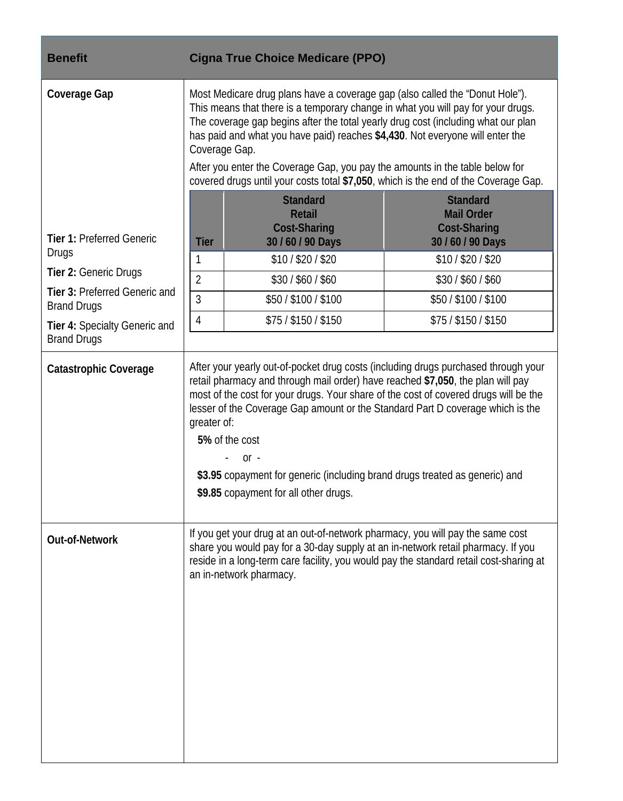| <b>Benefit</b>                                                            | <b>Cigna True Choice Medicare (PPO)</b>                                                                                                                                                                                                                                                                                                                                                                                                                                                                                        |                                                                                  |  |
|---------------------------------------------------------------------------|--------------------------------------------------------------------------------------------------------------------------------------------------------------------------------------------------------------------------------------------------------------------------------------------------------------------------------------------------------------------------------------------------------------------------------------------------------------------------------------------------------------------------------|----------------------------------------------------------------------------------|--|
| Coverage Gap                                                              | Most Medicare drug plans have a coverage gap (also called the "Donut Hole").<br>This means that there is a temporary change in what you will pay for your drugs.<br>The coverage gap begins after the total yearly drug cost (including what our plan<br>has paid and what you have paid) reaches \$4,430. Not everyone will enter the<br>Coverage Gap.<br>After you enter the Coverage Gap, you pay the amounts in the table below for<br>covered drugs until your costs total \$7,050, which is the end of the Coverage Gap. |                                                                                  |  |
| <b>Tier 1: Preferred Generic</b><br>Drugs                                 | <b>Standard</b><br><b>Retail</b><br><b>Cost-Sharing</b><br>30 / 60 / 90 Days<br><b>Tier</b>                                                                                                                                                                                                                                                                                                                                                                                                                                    | <b>Standard</b><br><b>Mail Order</b><br><b>Cost-Sharing</b><br>30 / 60 / 90 Days |  |
| Tier 2: Generic Drugs                                                     | \$10/\$20/\$20<br>1                                                                                                                                                                                                                                                                                                                                                                                                                                                                                                            | \$10/\$20/\$20                                                                   |  |
| Tier 3: Preferred Generic and                                             | $\overline{2}$<br>\$30/\$60/\$60<br>$\overline{3}$<br>\$50/\$100/\$100                                                                                                                                                                                                                                                                                                                                                                                                                                                         | \$30/\$60/\$60<br>\$50/\$100/\$100                                               |  |
| <b>Brand Drugs</b><br>Tier 4: Specialty Generic and<br><b>Brand Drugs</b> | 4<br>\$75 / \$150 / \$150                                                                                                                                                                                                                                                                                                                                                                                                                                                                                                      | \$75 / \$150 / \$150                                                             |  |
| <b>Catastrophic Coverage</b>                                              | After your yearly out-of-pocket drug costs (including drugs purchased through your<br>retail pharmacy and through mail order) have reached \$7,050, the plan will pay<br>most of the cost for your drugs. Your share of the cost of covered drugs will be the<br>lesser of the Coverage Gap amount or the Standard Part D coverage which is the<br>greater of:<br>5% of the cost<br>$or -$<br>\$3.95 copayment for generic (including brand drugs treated as generic) and<br>\$9.85 copayment for all other drugs.             |                                                                                  |  |
| <b>Out-of-Network</b>                                                     | If you get your drug at an out-of-network pharmacy, you will pay the same cost<br>share you would pay for a 30-day supply at an in-network retail pharmacy. If you<br>reside in a long-term care facility, you would pay the standard retail cost-sharing at<br>an in-network pharmacy.                                                                                                                                                                                                                                        |                                                                                  |  |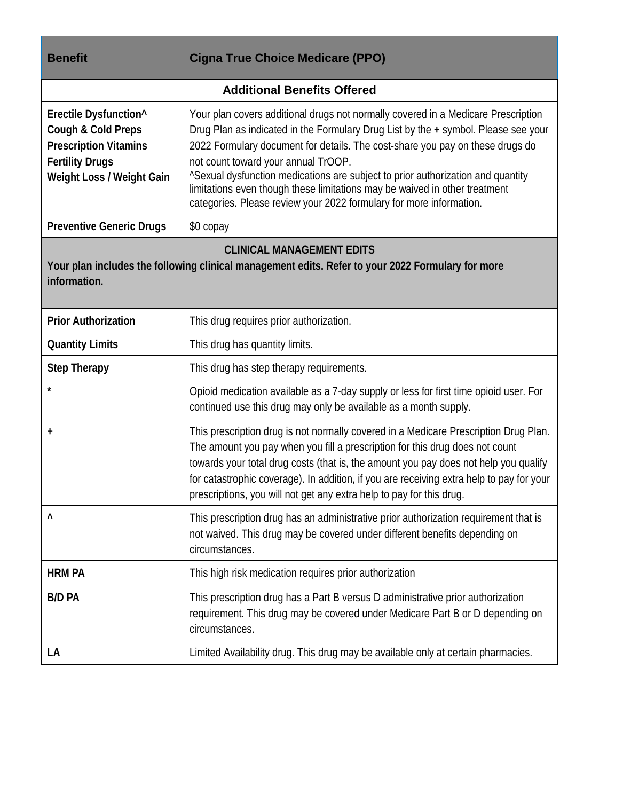| <b>Benefit</b>                                                                                                                                        | <b>Cigna True Choice Medicare (PPO)</b>                                                                                                                                                                                                                                                                                                                                                                                                                                                                                                 |  |
|-------------------------------------------------------------------------------------------------------------------------------------------------------|-----------------------------------------------------------------------------------------------------------------------------------------------------------------------------------------------------------------------------------------------------------------------------------------------------------------------------------------------------------------------------------------------------------------------------------------------------------------------------------------------------------------------------------------|--|
|                                                                                                                                                       | <b>Additional Benefits Offered</b>                                                                                                                                                                                                                                                                                                                                                                                                                                                                                                      |  |
| Erectile Dysfunction^<br>Cough & Cold Preps<br><b>Prescription Vitamins</b><br><b>Fertility Drugs</b><br>Weight Loss / Weight Gain                    | Your plan covers additional drugs not normally covered in a Medicare Prescription<br>Drug Plan as indicated in the Formulary Drug List by the + symbol. Please see your<br>2022 Formulary document for details. The cost-share you pay on these drugs do<br>not count toward your annual TrOOP.<br>"Sexual dysfunction medications are subject to prior authorization and quantity<br>limitations even though these limitations may be waived in other treatment<br>categories. Please review your 2022 formulary for more information. |  |
| <b>Preventive Generic Drugs</b>                                                                                                                       | \$0 copay                                                                                                                                                                                                                                                                                                                                                                                                                                                                                                                               |  |
| <b>CLINICAL MANAGEMENT EDITS</b><br>Your plan includes the following clinical management edits. Refer to your 2022 Formulary for more<br>information. |                                                                                                                                                                                                                                                                                                                                                                                                                                                                                                                                         |  |
| <b>Prior Authorization</b>                                                                                                                            | This drug requires prior authorization.                                                                                                                                                                                                                                                                                                                                                                                                                                                                                                 |  |
| <b>Quantity Limits</b>                                                                                                                                | This drug has quantity limits.                                                                                                                                                                                                                                                                                                                                                                                                                                                                                                          |  |
| <b>Step Therapy</b>                                                                                                                                   | This drug has step therapy requirements.                                                                                                                                                                                                                                                                                                                                                                                                                                                                                                |  |
|                                                                                                                                                       | Opioid medication available as a 7-day supply or less for first time opioid user. For<br>continued use this drug may only be available as a month supply.                                                                                                                                                                                                                                                                                                                                                                               |  |
| $\ddot{}$                                                                                                                                             | This prescription drug is not normally covered in a Medicare Prescription Drug Plan.<br>The amount you pay when you fill a prescription for this drug does not count<br>towards your total drug costs (that is, the amount you pay does not help you qualify<br>for catastrophic coverage). In addition, if you are receiving extra help to pay for your<br>prescriptions, you will not get any extra help to pay for this drug.                                                                                                        |  |
| $\wedge$                                                                                                                                              | This prescription drug has an administrative prior authorization requirement that is<br>not waived. This drug may be covered under different benefits depending on<br>circumstances.                                                                                                                                                                                                                                                                                                                                                    |  |
| <b>HRM PA</b>                                                                                                                                         | This high risk medication requires prior authorization                                                                                                                                                                                                                                                                                                                                                                                                                                                                                  |  |
| <b>B/D PA</b>                                                                                                                                         | This prescription drug has a Part B versus D administrative prior authorization<br>requirement. This drug may be covered under Medicare Part B or D depending on<br>circumstances.                                                                                                                                                                                                                                                                                                                                                      |  |

**LA** Limited Availability drug. This drug may be available only at certain pharmacies.